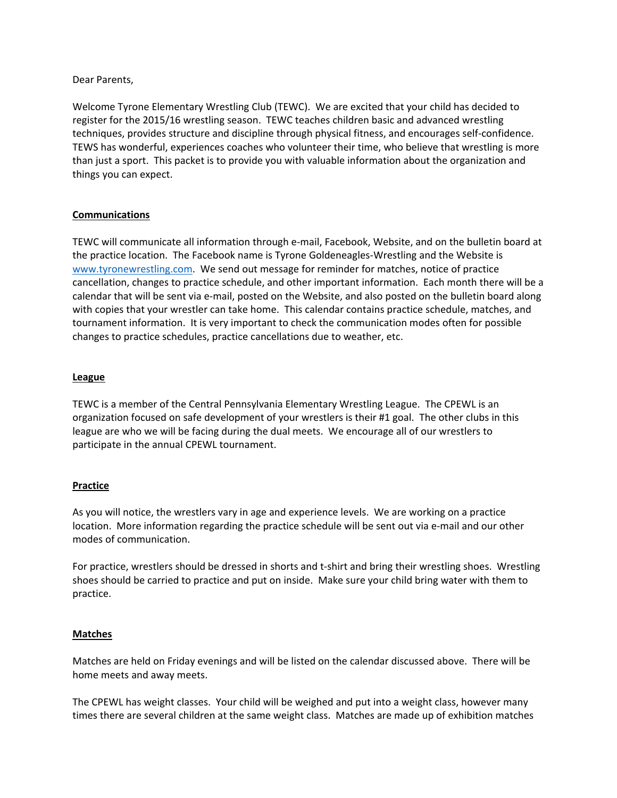Dear Parents,

Welcome Tyrone Elementary Wrestling Club (TEWC). We are excited that your child has decided to register for the 2015/16 wrestling season. TEWC teaches children basic and advanced wrestling techniques, provides structure and discipline through physical fitness, and encourages self‐confidence. TEWS has wonderful, experiences coaches who volunteer their time, who believe that wrestling is more than just a sport. This packet is to provide you with valuable information about the organization and things you can expect.

# **Communications**

TEWC will communicate all information through e‐mail, Facebook, Website, and on the bulletin board at the practice location. The Facebook name is Tyrone Goldeneagles‐Wrestling and the Website is www.tyronewrestling.com. We send out message for reminder for matches, notice of practice cancellation, changes to practice schedule, and other important information. Each month there will be a calendar that will be sent via e‐mail, posted on the Website, and also posted on the bulletin board along with copies that your wrestler can take home. This calendar contains practice schedule, matches, and tournament information. It is very important to check the communication modes often for possible changes to practice schedules, practice cancellations due to weather, etc.

#### **League**

TEWC is a member of the Central Pennsylvania Elementary Wrestling League. The CPEWL is an organization focused on safe development of your wrestlers is their #1 goal. The other clubs in this league are who we will be facing during the dual meets. We encourage all of our wrestlers to participate in the annual CPEWL tournament.

# **Practice**

As you will notice, the wrestlers vary in age and experience levels. We are working on a practice location. More information regarding the practice schedule will be sent out via e‐mail and our other modes of communication.

For practice, wrestlers should be dressed in shorts and t‐shirt and bring their wrestling shoes. Wrestling shoes should be carried to practice and put on inside. Make sure your child bring water with them to practice.

#### **Matches**

Matches are held on Friday evenings and will be listed on the calendar discussed above. There will be home meets and away meets.

The CPEWL has weight classes. Your child will be weighed and put into a weight class, however many times there are several children at the same weight class. Matches are made up of exhibition matches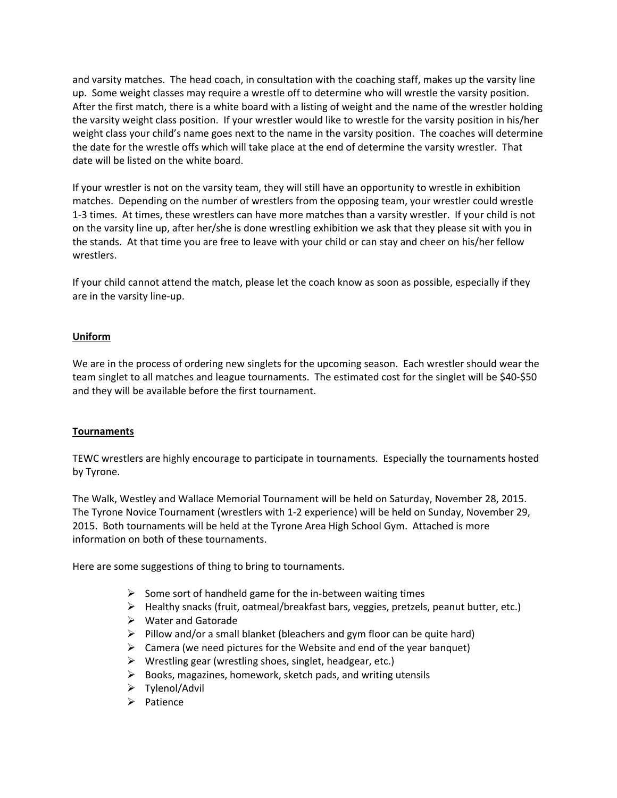and varsity matches. The head coach, in consultation with the coaching staff, makes up the varsity line up. Some weight classes may require a wrestle off to determine who will wrestle the varsity position. After the first match, there is a white board with a listing of weight and the name of the wrestler holding the varsity weight class position. If your wrestler would like to wrestle for the varsity position in his/her weight class your child's name goes next to the name in the varsity position. The coaches will determine the date for the wrestle offs which will take place at the end of determine the varsity wrestler. That date will be listed on the white board.

If your wrestler is not on the varsity team, they will still have an opportunity to wrestle in exhibition matches. Depending on the number of wrestlers from the opposing team, your wrestler could wrestle 1‐3 times. At times, these wrestlers can have more matches than a varsity wrestler. If your child is not on the varsity line up, after her/she is done wrestling exhibition we ask that they please sit with you in the stands. At that time you are free to leave with your child or can stay and cheer on his/her fellow wrestlers.

If your child cannot attend the match, please let the coach know as soon as possible, especially if they are in the varsity line‐up.

# **Uniform**

We are in the process of ordering new singlets for the upcoming season. Each wrestler should wear the team singlet to all matches and league tournaments. The estimated cost for the singlet will be \$40‐\$50 and they will be available before the first tournament.

# **Tournaments**

TEWC wrestlers are highly encourage to participate in tournaments. Especially the tournaments hosted by Tyrone.

The Walk, Westley and Wallace Memorial Tournament will be held on Saturday, November 28, 2015. The Tyrone Novice Tournament (wrestlers with 1‐2 experience) will be held on Sunday, November 29, 2015. Both tournaments will be held at the Tyrone Area High School Gym. Attached is more information on both of these tournaments.

Here are some suggestions of thing to bring to tournaments.

- $\triangleright$  Some sort of handheld game for the in-between waiting times
- $\triangleright$  Healthy snacks (fruit, oatmeal/breakfast bars, veggies, pretzels, peanut butter, etc.)
- $\triangleright$  Water and Gatorade
- $\triangleright$  Pillow and/or a small blanket (bleachers and gym floor can be quite hard)
- $\triangleright$  Camera (we need pictures for the Website and end of the year banquet)
- $\triangleright$  Wrestling gear (wrestling shoes, singlet, headgear, etc.)
- $\triangleright$  Books, magazines, homework, sketch pads, and writing utensils
- Tylenol/Advil
- $\triangleright$  Patience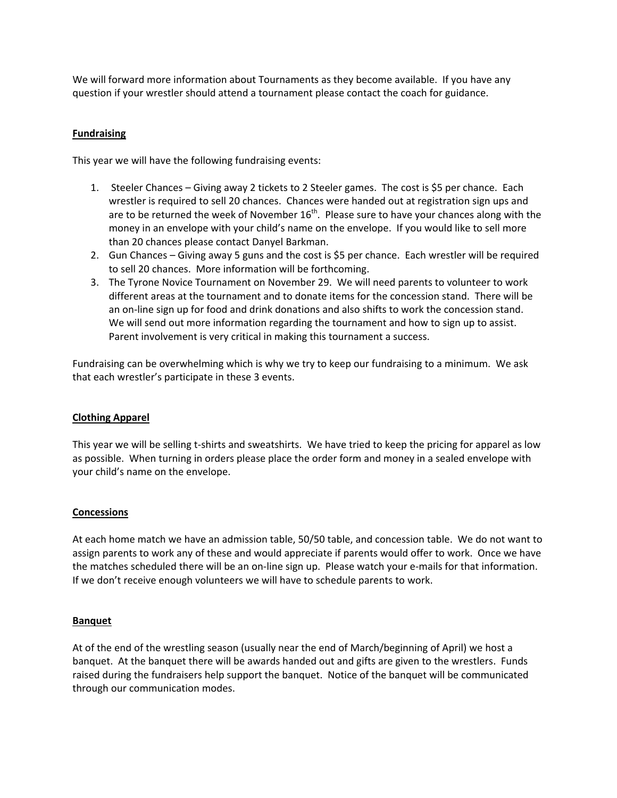We will forward more information about Tournaments as they become available. If you have any question if your wrestler should attend a tournament please contact the coach for guidance.

# **Fundraising**

This year we will have the following fundraising events:

- 1. Steeler Chances Giving away 2 tickets to 2 Steeler games. The cost is \$5 per chance. Each wrestler is required to sell 20 chances. Chances were handed out at registration sign ups and are to be returned the week of November  $16<sup>th</sup>$ . Please sure to have your chances along with the money in an envelope with your child's name on the envelope. If you would like to sell more than 20 chances please contact Danyel Barkman.
- 2. Gun Chances Giving away 5 guns and the cost is \$5 per chance. Each wrestler will be required to sell 20 chances. More information will be forthcoming.
- 3. The Tyrone Novice Tournament on November 29. We will need parents to volunteer to work different areas at the tournament and to donate items for the concession stand. There will be an on‐line sign up for food and drink donations and also shifts to work the concession stand. We will send out more information regarding the tournament and how to sign up to assist. Parent involvement is very critical in making this tournament a success.

Fundraising can be overwhelming which is why we try to keep our fundraising to a minimum. We ask that each wrestler's participate in these 3 events.

# **Clothing Apparel**

This year we will be selling t-shirts and sweatshirts. We have tried to keep the pricing for apparel as low as possible. When turning in orders please place the order form and money in a sealed envelope with your child's name on the envelope.

# **Concessions**

At each home match we have an admission table, 50/50 table, and concession table. We do not want to assign parents to work any of these and would appreciate if parents would offer to work. Once we have the matches scheduled there will be an on-line sign up. Please watch your e-mails for that information. If we don't receive enough volunteers we will have to schedule parents to work.

# **Banquet**

At of the end of the wrestling season (usually near the end of March/beginning of April) we host a banquet. At the banquet there will be awards handed out and gifts are given to the wrestlers. Funds raised during the fundraisers help support the banquet. Notice of the banquet will be communicated through our communication modes.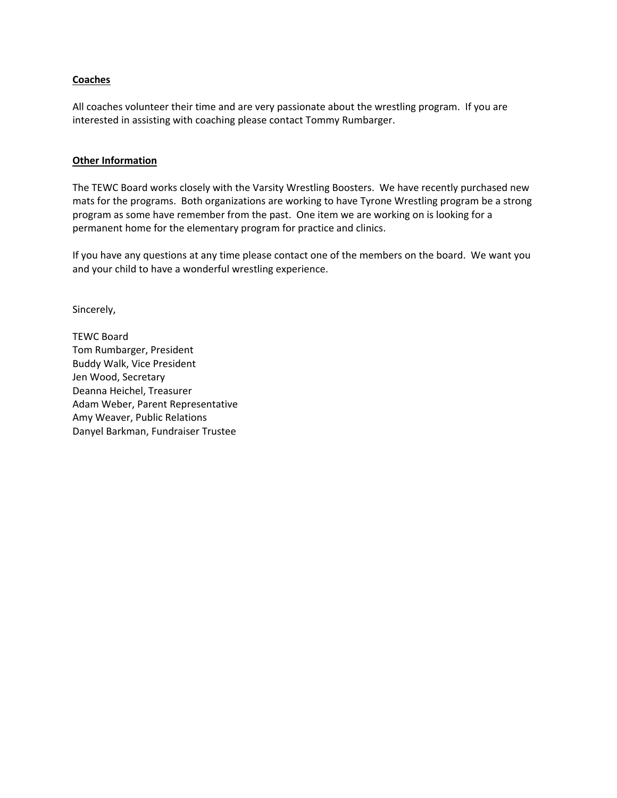#### **Coaches**

All coaches volunteer their time and are very passionate about the wrestling program. If you are interested in assisting with coaching please contact Tommy Rumbarger.

#### **Other Information**

The TEWC Board works closely with the Varsity Wrestling Boosters. We have recently purchased new mats for the programs. Both organizations are working to have Tyrone Wrestling program be a strong program as some have remember from the past. One item we are working on is looking for a permanent home for the elementary program for practice and clinics.

If you have any questions at any time please contact one of the members on the board. We want you and your child to have a wonderful wrestling experience.

Sincerely,

TEWC Board Tom Rumbarger, President Buddy Walk, Vice President Jen Wood, Secretary Deanna Heichel, Treasurer Adam Weber, Parent Representative Amy Weaver, Public Relations Danyel Barkman, Fundraiser Trustee